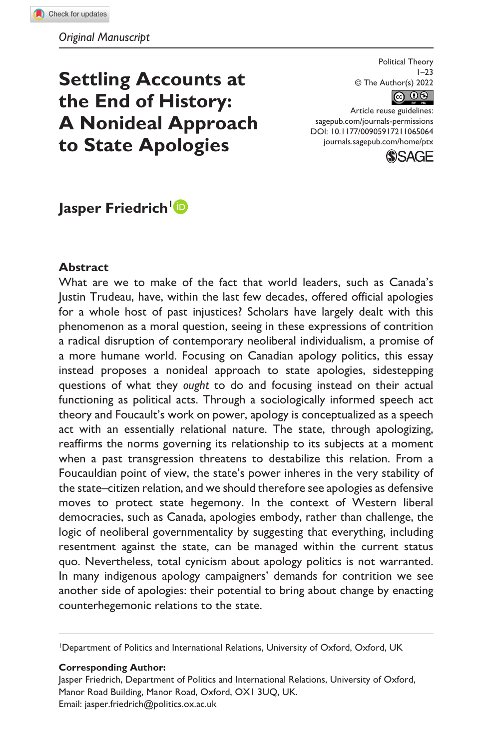# **Settling Accounts at the End of History: A Nonideal Approach to State Apologies**

Political Theory 1–23 © The Author(s) 2022



DOI: 10.1177/00905917211065064 Article reuse guidelines: [sagepub.com/journals-permissions](https://us.sagepub.com/en-us/journals-permissions) [journals.sagepub.com/home/ptx](https://journals.sagepub.com/home/ptx)



# Jasper Friedrich<sup>1</sup><sup>D</sup>

### **Abstract**

What are we to make of the fact that world leaders, such as Canada's Justin Trudeau, have, within the last few decades, offered official apologies for a whole host of past injustices? Scholars have largely dealt with this phenomenon as a moral question, seeing in these expressions of contrition a radical disruption of contemporary neoliberal individualism, a promise of a more humane world. Focusing on Canadian apology politics, this essay instead proposes a nonideal approach to state apologies, sidestepping questions of what they *ought* to do and focusing instead on their actual functioning as political acts. Through a sociologically informed speech act theory and Foucault's work on power, apology is conceptualized as a speech act with an essentially relational nature. The state, through apologizing, reaffirms the norms governing its relationship to its subjects at a moment when a past transgression threatens to destabilize this relation. From a Foucauldian point of view, the state's power inheres in the very stability of the state–citizen relation, and we should therefore see apologies as defensive moves to protect state hegemony. In the context of Western liberal democracies, such as Canada, apologies embody, rather than challenge, the logic of neoliberal governmentality by suggesting that everything, including resentment against the state, can be managed within the current status quo. Nevertheless, total cynicism about apology politics is not warranted. In many indigenous apology campaigners' demands for contrition we see another side of apologies: their potential to bring about change by enacting counterhegemonic relations to the state.

<sup>1</sup>Department of Politics and International Relations, University of Oxford, Oxford, UK

#### **Corresponding Author:**

Jasper Friedrich, Department of Politics and International Relations, University of Oxford, Manor Road Building, Manor Road, Oxford, OX1 3UQ, UK. Email: [jasper.friedrich@politics.ox.ac.uk](mailto:jasper.friedrich@politics.ox.ac.uk)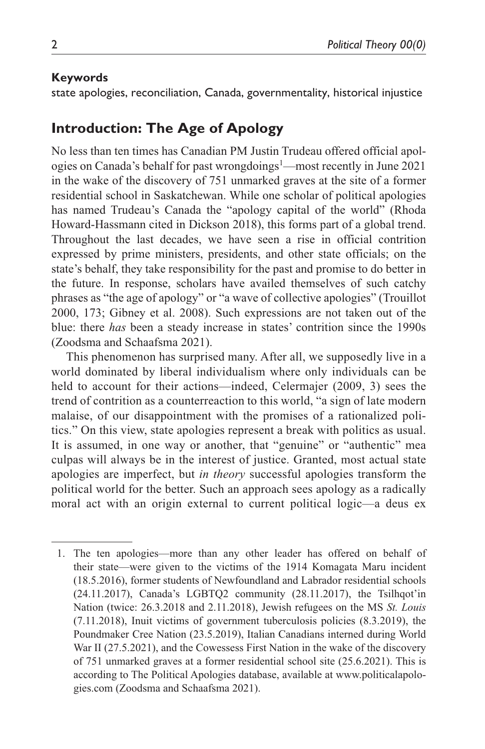### **Keywords**

state apologies, reconciliation, Canada, governmentality, historical injustice

# **Introduction: The Age of Apology**

No less than ten times has Canadian PM Justin Trudeau offered official apologies on Canada's behalf for past wrongdoings<sup>1</sup>—most recently in June 2021 in the wake of the discovery of 751 unmarked graves at the site of a former residential school in Saskatchewan. While one scholar of political apologies has named Trudeau's Canada the "apology capital of the world" (Rhoda Howard-Hassmann cited in Dickson 2018), this forms part of a global trend. Throughout the last decades, we have seen a rise in official contrition expressed by prime ministers, presidents, and other state officials; on the state's behalf, they take responsibility for the past and promise to do better in the future. In response, scholars have availed themselves of such catchy phrases as "the age of apology" or "a wave of collective apologies" (Trouillot 2000, 173; Gibney et al. 2008). Such expressions are not taken out of the blue: there *has* been a steady increase in states' contrition since the 1990s (Zoodsma and Schaafsma 2021).

This phenomenon has surprised many. After all, we supposedly live in a world dominated by liberal individualism where only individuals can be held to account for their actions—indeed, Celermajer (2009, 3) sees the trend of contrition as a counterreaction to this world, "a sign of late modern malaise, of our disappointment with the promises of a rationalized politics." On this view, state apologies represent a break with politics as usual. It is assumed, in one way or another, that "genuine" or "authentic" mea culpas will always be in the interest of justice. Granted, most actual state apologies are imperfect, but *in theory* successful apologies transform the political world for the better. Such an approach sees apology as a radically moral act with an origin external to current political logic—a deus ex

<sup>1.</sup> The ten apologies—more than any other leader has offered on behalf of their state—were given to the victims of the 1914 Komagata Maru incident (18.5.2016), former students of Newfoundland and Labrador residential schools (24.11.2017), Canada's LGBTQ2 community (28.11.2017), the Tsilhqot'in Nation (twice: 26.3.2018 and 2.11.2018), Jewish refugees on the MS *St. Louis* (7.11.2018), Inuit victims of government tuberculosis policies (8.3.2019), the Poundmaker Cree Nation (23.5.2019), Italian Canadians interned during World War II (27.5.2021), and the Cowessess First Nation in the wake of the discovery of 751 unmarked graves at a former residential school site (25.6.2021). This is according to The Political Apologies database, available at [www.politicalapolo](www.politicalapologies.com)[gies.com](www.politicalapologies.com) (Zoodsma and Schaafsma 2021).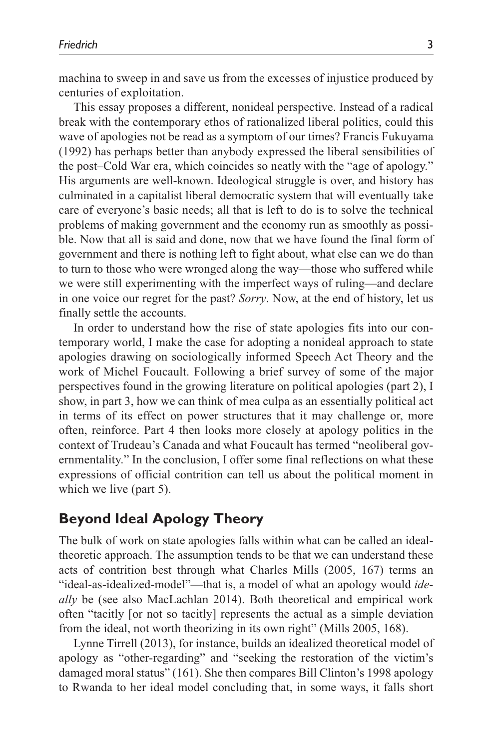machina to sweep in and save us from the excesses of injustice produced by centuries of exploitation.

This essay proposes a different, nonideal perspective. Instead of a radical break with the contemporary ethos of rationalized liberal politics, could this wave of apologies not be read as a symptom of our times? Francis Fukuyama (1992) has perhaps better than anybody expressed the liberal sensibilities of the post–Cold War era, which coincides so neatly with the "age of apology." His arguments are well-known. Ideological struggle is over, and history has culminated in a capitalist liberal democratic system that will eventually take care of everyone's basic needs; all that is left to do is to solve the technical problems of making government and the economy run as smoothly as possible. Now that all is said and done, now that we have found the final form of government and there is nothing left to fight about, what else can we do than to turn to those who were wronged along the way—those who suffered while we were still experimenting with the imperfect ways of ruling—and declare in one voice our regret for the past? *Sorry*. Now, at the end of history, let us finally settle the accounts.

In order to understand how the rise of state apologies fits into our contemporary world, I make the case for adopting a nonideal approach to state apologies drawing on sociologically informed Speech Act Theory and the work of Michel Foucault. Following a brief survey of some of the major perspectives found in the growing literature on political apologies (part 2), I show, in part 3, how we can think of mea culpa as an essentially political act in terms of its effect on power structures that it may challenge or, more often, reinforce. Part 4 then looks more closely at apology politics in the context of Trudeau's Canada and what Foucault has termed "neoliberal governmentality." In the conclusion, I offer some final reflections on what these expressions of official contrition can tell us about the political moment in which we live (part 5).

# **Beyond Ideal Apology Theory**

The bulk of work on state apologies falls within what can be called an idealtheoretic approach. The assumption tends to be that we can understand these acts of contrition best through what Charles Mills (2005, 167) terms an "ideal-as-idealized-model"—that is, a model of what an apology would *ideally* be (see also MacLachlan 2014). Both theoretical and empirical work often "tacitly [or not so tacitly] represents the actual as a simple deviation from the ideal, not worth theorizing in its own right" (Mills 2005, 168).

Lynne Tirrell (2013), for instance, builds an idealized theoretical model of apology as "other-regarding" and "seeking the restoration of the victim's damaged moral status" (161). She then compares Bill Clinton's 1998 apology to Rwanda to her ideal model concluding that, in some ways, it falls short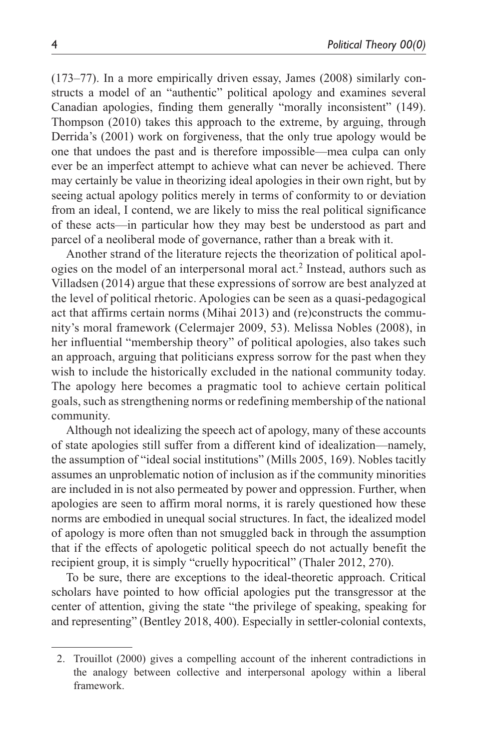(173–77). In a more empirically driven essay, James (2008) similarly constructs a model of an "authentic" political apology and examines several Canadian apologies, finding them generally "morally inconsistent" (149). Thompson (2010) takes this approach to the extreme, by arguing, through Derrida's (2001) work on forgiveness, that the only true apology would be one that undoes the past and is therefore impossible—mea culpa can only ever be an imperfect attempt to achieve what can never be achieved. There may certainly be value in theorizing ideal apologies in their own right, but by seeing actual apology politics merely in terms of conformity to or deviation from an ideal, I contend, we are likely to miss the real political significance of these acts—in particular how they may best be understood as part and parcel of a neoliberal mode of governance, rather than a break with it.

Another strand of the literature rejects the theorization of political apologies on the model of an interpersonal moral act.<sup>2</sup> Instead, authors such as Villadsen (2014) argue that these expressions of sorrow are best analyzed at the level of political rhetoric. Apologies can be seen as a quasi-pedagogical act that affirms certain norms (Mihai 2013) and (re)constructs the community's moral framework (Celermajer 2009, 53). Melissa Nobles (2008), in her influential "membership theory" of political apologies, also takes such an approach, arguing that politicians express sorrow for the past when they wish to include the historically excluded in the national community today. The apology here becomes a pragmatic tool to achieve certain political goals, such as strengthening norms or redefining membership of the national community.

Although not idealizing the speech act of apology, many of these accounts of state apologies still suffer from a different kind of idealization—namely, the assumption of "ideal social institutions" (Mills 2005, 169). Nobles tacitly assumes an unproblematic notion of inclusion as if the community minorities are included in is not also permeated by power and oppression. Further, when apologies are seen to affirm moral norms, it is rarely questioned how these norms are embodied in unequal social structures. In fact, the idealized model of apology is more often than not smuggled back in through the assumption that if the effects of apologetic political speech do not actually benefit the recipient group, it is simply "cruelly hypocritical" (Thaler 2012, 270).

To be sure, there are exceptions to the ideal-theoretic approach. Critical scholars have pointed to how official apologies put the transgressor at the center of attention, giving the state "the privilege of speaking, speaking for and representing" (Bentley 2018, 400). Especially in settler-colonial contexts,

<sup>2.</sup> Trouillot (2000) gives a compelling account of the inherent contradictions in the analogy between collective and interpersonal apology within a liberal framework.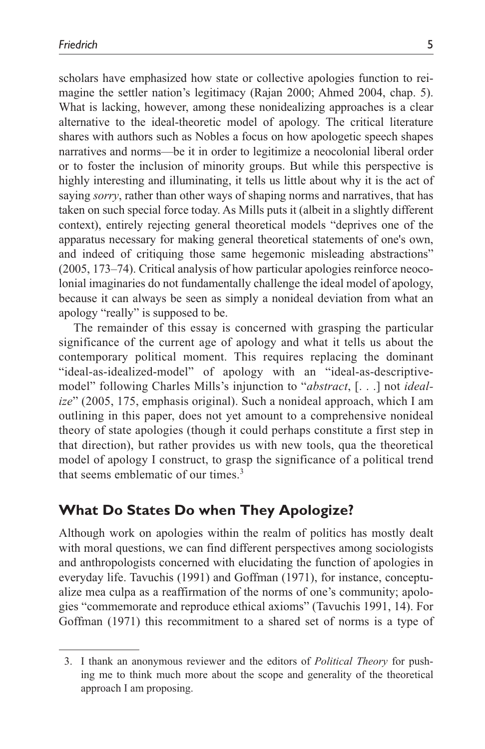scholars have emphasized how state or collective apologies function to reimagine the settler nation's legitimacy (Rajan 2000; Ahmed 2004, chap. 5). What is lacking, however, among these nonidealizing approaches is a clear alternative to the ideal-theoretic model of apology. The critical literature shares with authors such as Nobles a focus on how apologetic speech shapes narratives and norms—be it in order to legitimize a neocolonial liberal order or to foster the inclusion of minority groups. But while this perspective is highly interesting and illuminating, it tells us little about why it is the act of saying *sorry*, rather than other ways of shaping norms and narratives, that has taken on such special force today. As Mills puts it (albeit in a slightly different context), entirely rejecting general theoretical models "deprives one of the apparatus necessary for making general theoretical statements of one's own, and indeed of critiquing those same hegemonic misleading abstractions" (2005, 173–74). Critical analysis of how particular apologies reinforce neocolonial imaginaries do not fundamentally challenge the ideal model of apology, because it can always be seen as simply a nonideal deviation from what an apology "really" is supposed to be.

The remainder of this essay is concerned with grasping the particular significance of the current age of apology and what it tells us about the contemporary political moment. This requires replacing the dominant "ideal-as-idealized-model" of apology with an "ideal-as-descriptivemodel" following Charles Mills's injunction to "*abstract*, [. . .] not *idealize*" (2005, 175, emphasis original). Such a nonideal approach, which I am outlining in this paper, does not yet amount to a comprehensive nonideal theory of state apologies (though it could perhaps constitute a first step in that direction), but rather provides us with new tools, qua the theoretical model of apology I construct, to grasp the significance of a political trend that seems emblematic of our times.3

# **What Do States Do when They Apologize?**

Although work on apologies within the realm of politics has mostly dealt with moral questions, we can find different perspectives among sociologists and anthropologists concerned with elucidating the function of apologies in everyday life. Tavuchis (1991) and Goffman (1971), for instance, conceptualize mea culpa as a reaffirmation of the norms of one's community; apologies "commemorate and reproduce ethical axioms" (Tavuchis 1991, 14). For Goffman (1971) this recommitment to a shared set of norms is a type of

<sup>3.</sup> I thank an anonymous reviewer and the editors of *Political Theory* for pushing me to think much more about the scope and generality of the theoretical approach I am proposing.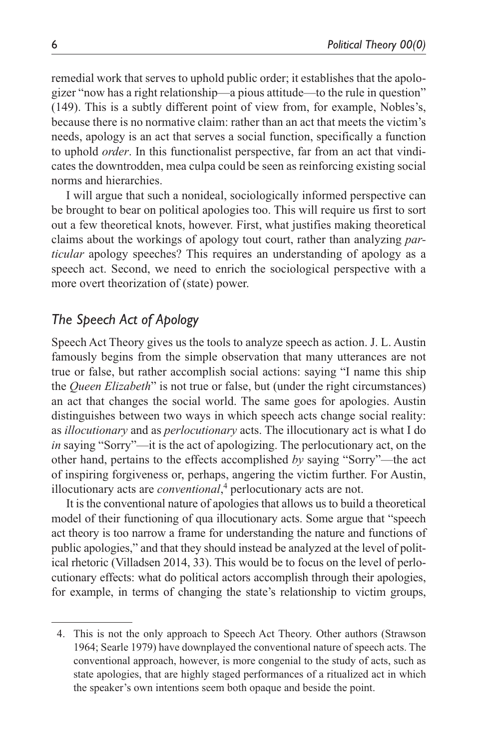remedial work that serves to uphold public order; it establishes that the apologizer "now has a right relationship—a pious attitude—to the rule in question" (149). This is a subtly different point of view from, for example, Nobles's, because there is no normative claim: rather than an act that meets the victim's needs, apology is an act that serves a social function, specifically a function to uphold *order*. In this functionalist perspective, far from an act that vindicates the downtrodden, mea culpa could be seen as reinforcing existing social norms and hierarchies.

I will argue that such a nonideal, sociologically informed perspective can be brought to bear on political apologies too. This will require us first to sort out a few theoretical knots, however. First, what justifies making theoretical claims about the workings of apology tout court, rather than analyzing *particular* apology speeches? This requires an understanding of apology as a speech act. Second, we need to enrich the sociological perspective with a more overt theorization of (state) power.

# *The Speech Act of Apology*

Speech Act Theory gives us the tools to analyze speech as action. J. L. Austin famously begins from the simple observation that many utterances are not true or false, but rather accomplish social actions: saying "I name this ship the *Queen Elizabeth*" is not true or false, but (under the right circumstances) an act that changes the social world. The same goes for apologies. Austin distinguishes between two ways in which speech acts change social reality: as *illocutionary* and as *perlocutionary* acts. The illocutionary act is what I do *in* saying "Sorry"—it is the act of apologizing. The perlocutionary act, on the other hand, pertains to the effects accomplished *by* saying "Sorry"—the act of inspiring forgiveness or, perhaps, angering the victim further. For Austin, illocutionary acts are *conventional*,<sup>4</sup> perlocutionary acts are not.

It is the conventional nature of apologies that allows us to build a theoretical model of their functioning of qua illocutionary acts. Some argue that "speech act theory is too narrow a frame for understanding the nature and functions of public apologies," and that they should instead be analyzed at the level of political rhetoric (Villadsen 2014, 33). This would be to focus on the level of perlocutionary effects: what do political actors accomplish through their apologies, for example, in terms of changing the state's relationship to victim groups,

<sup>4.</sup> This is not the only approach to Speech Act Theory. Other authors (Strawson 1964; Searle 1979) have downplayed the conventional nature of speech acts. The conventional approach, however, is more congenial to the study of acts, such as state apologies, that are highly staged performances of a ritualized act in which the speaker's own intentions seem both opaque and beside the point.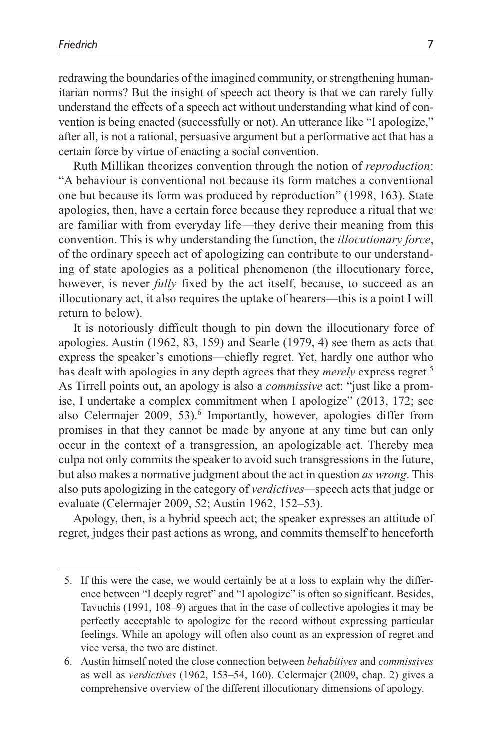redrawing the boundaries of the imagined community, or strengthening humanitarian norms? But the insight of speech act theory is that we can rarely fully understand the effects of a speech act without understanding what kind of convention is being enacted (successfully or not). An utterance like "I apologize," after all, is not a rational, persuasive argument but a performative act that has a certain force by virtue of enacting a social convention.

Ruth Millikan theorizes convention through the notion of *reproduction*: "A behaviour is conventional not because its form matches a conventional one but because its form was produced by reproduction" (1998, 163). State apologies, then, have a certain force because they reproduce a ritual that we are familiar with from everyday life—they derive their meaning from this convention. This is why understanding the function, the *illocutionary force*, of the ordinary speech act of apologizing can contribute to our understanding of state apologies as a political phenomenon (the illocutionary force, however, is never *fully* fixed by the act itself, because, to succeed as an illocutionary act, it also requires the uptake of hearers—this is a point I will return to below).

It is notoriously difficult though to pin down the illocutionary force of apologies. Austin (1962, 83, 159) and Searle (1979, 4) see them as acts that express the speaker's emotions—chiefly regret. Yet, hardly one author who has dealt with apologies in any depth agrees that they *merely* express regret.5 As Tirrell points out, an apology is also a *commissive* act: "just like a promise, I undertake a complex commitment when I apologize" (2013, 172; see also Celermajer 2009, 53).<sup>6</sup> Importantly, however, apologies differ from promises in that they cannot be made by anyone at any time but can only occur in the context of a transgression, an apologizable act. Thereby mea culpa not only commits the speaker to avoid such transgressions in the future, but also makes a normative judgment about the act in question *as wrong*. This also puts apologizing in the category of *verdictives—*speech acts that judge or evaluate (Celermajer 2009, 52; Austin 1962, 152–53).

Apology, then, is a hybrid speech act; the speaker expresses an attitude of regret, judges their past actions as wrong, and commits themself to henceforth

<sup>5.</sup> If this were the case, we would certainly be at a loss to explain why the difference between "I deeply regret" and "I apologize" is often so significant. Besides, Tavuchis (1991, 108–9) argues that in the case of collective apologies it may be perfectly acceptable to apologize for the record without expressing particular feelings. While an apology will often also count as an expression of regret and vice versa, the two are distinct.

<sup>6.</sup> Austin himself noted the close connection between *behabitives* and *commissives* as well as *verdictives* (1962, 153–54, 160). Celermajer (2009, chap. 2) gives a comprehensive overview of the different illocutionary dimensions of apology.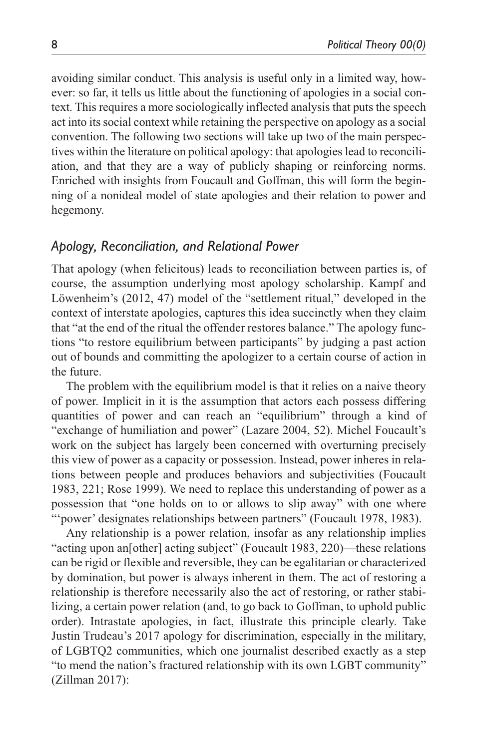avoiding similar conduct. This analysis is useful only in a limited way, however: so far, it tells us little about the functioning of apologies in a social context. This requires a more sociologically inflected analysis that puts the speech act into its social context while retaining the perspective on apology as a social convention. The following two sections will take up two of the main perspectives within the literature on political apology: that apologies lead to reconciliation, and that they are a way of publicly shaping or reinforcing norms. Enriched with insights from Foucault and Goffman, this will form the beginning of a nonideal model of state apologies and their relation to power and hegemony.

# *Apology, Reconciliation, and Relational Power*

That apology (when felicitous) leads to reconciliation between parties is, of course, the assumption underlying most apology scholarship. Kampf and Löwenheim's (2012, 47) model of the "settlement ritual," developed in the context of interstate apologies, captures this idea succinctly when they claim that "at the end of the ritual the offender restores balance." The apology functions "to restore equilibrium between participants" by judging a past action out of bounds and committing the apologizer to a certain course of action in the future.

The problem with the equilibrium model is that it relies on a naive theory of power. Implicit in it is the assumption that actors each possess differing quantities of power and can reach an "equilibrium" through a kind of "exchange of humiliation and power" (Lazare 2004, 52). Michel Foucault's work on the subject has largely been concerned with overturning precisely this view of power as a capacity or possession. Instead, power inheres in relations between people and produces behaviors and subjectivities (Foucault 1983, 221; Rose 1999). We need to replace this understanding of power as a possession that "one holds on to or allows to slip away" with one where "'power' designates relationships between partners" (Foucault 1978, 1983).

Any relationship is a power relation, insofar as any relationship implies "acting upon an[other] acting subject" (Foucault 1983, 220)—these relations can be rigid or flexible and reversible, they can be egalitarian or characterized by domination, but power is always inherent in them. The act of restoring a relationship is therefore necessarily also the act of restoring, or rather stabilizing, a certain power relation (and, to go back to Goffman, to uphold public order). Intrastate apologies, in fact, illustrate this principle clearly. Take Justin Trudeau's 2017 apology for discrimination, especially in the military, of LGBTQ2 communities, which one journalist described exactly as a step "to mend the nation's fractured relationship with its own LGBT community" (Zillman 2017):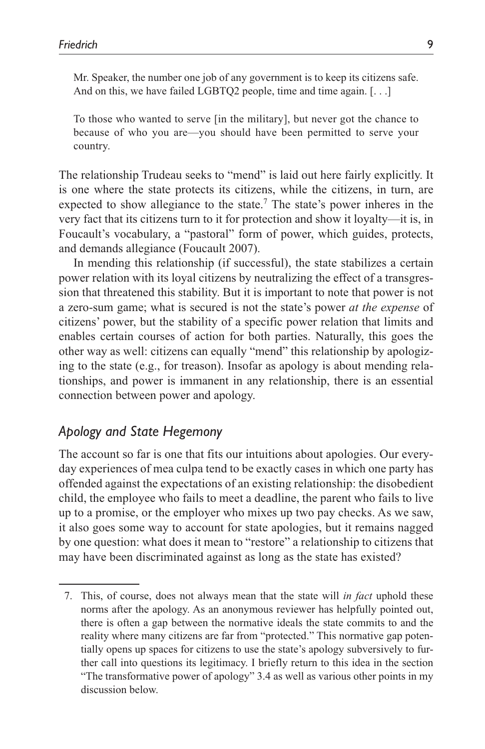Mr. Speaker, the number one job of any government is to keep its citizens safe. And on this, we have failed LGBTQ2 people, time and time again. [...]

To those who wanted to serve [in the military], but never got the chance to because of who you are—you should have been permitted to serve your country.

The relationship Trudeau seeks to "mend" is laid out here fairly explicitly. It is one where the state protects its citizens, while the citizens, in turn, are expected to show allegiance to the state.<sup>7</sup> The state's power inheres in the very fact that its citizens turn to it for protection and show it loyalty—it is, in Foucault's vocabulary, a "pastoral" form of power, which guides, protects, and demands allegiance (Foucault 2007).

In mending this relationship (if successful), the state stabilizes a certain power relation with its loyal citizens by neutralizing the effect of a transgression that threatened this stability. But it is important to note that power is not a zero-sum game; what is secured is not the state's power *at the expense* of citizens' power, but the stability of a specific power relation that limits and enables certain courses of action for both parties. Naturally, this goes the other way as well: citizens can equally "mend" this relationship by apologizing to the state (e.g., for treason). Insofar as apology is about mending relationships, and power is immanent in any relationship, there is an essential connection between power and apology.

# *Apology and State Hegemony*

The account so far is one that fits our intuitions about apologies. Our everyday experiences of mea culpa tend to be exactly cases in which one party has offended against the expectations of an existing relationship: the disobedient child, the employee who fails to meet a deadline, the parent who fails to live up to a promise, or the employer who mixes up two pay checks. As we saw, it also goes some way to account for state apologies, but it remains nagged by one question: what does it mean to "restore" a relationship to citizens that may have been discriminated against as long as the state has existed?

<sup>7.</sup> This, of course, does not always mean that the state will *in fact* uphold these norms after the apology. As an anonymous reviewer has helpfully pointed out, there is often a gap between the normative ideals the state commits to and the reality where many citizens are far from "protected." This normative gap potentially opens up spaces for citizens to use the state's apology subversively to further call into questions its legitimacy. I briefly return to this idea in the section "The transformative power of apology" 3.4 as well as various other points in my discussion below.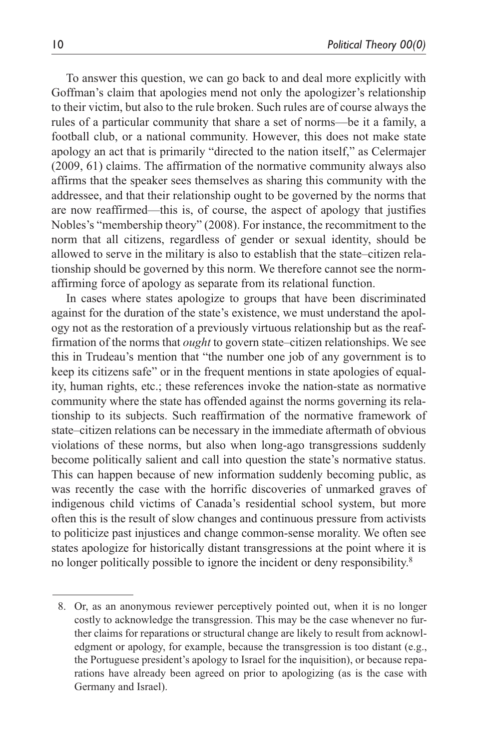To answer this question, we can go back to and deal more explicitly with Goffman's claim that apologies mend not only the apologizer's relationship to their victim, but also to the rule broken. Such rules are of course always the rules of a particular community that share a set of norms—be it a family, a football club, or a national community. However, this does not make state apology an act that is primarily "directed to the nation itself," as Celermajer (2009, 61) claims. The affirmation of the normative community always also affirms that the speaker sees themselves as sharing this community with the addressee, and that their relationship ought to be governed by the norms that are now reaffirmed—this is, of course, the aspect of apology that justifies Nobles's "membership theory" (2008). For instance, the recommitment to the norm that all citizens, regardless of gender or sexual identity, should be allowed to serve in the military is also to establish that the state–citizen relationship should be governed by this norm. We therefore cannot see the normaffirming force of apology as separate from its relational function.

In cases where states apologize to groups that have been discriminated against for the duration of the state's existence, we must understand the apology not as the restoration of a previously virtuous relationship but as the reaffirmation of the norms that *ought* to govern state–citizen relationships. We see this in Trudeau's mention that "the number one job of any government is to keep its citizens safe" or in the frequent mentions in state apologies of equality, human rights, etc.; these references invoke the nation-state as normative community where the state has offended against the norms governing its relationship to its subjects. Such reaffirmation of the normative framework of state–citizen relations can be necessary in the immediate aftermath of obvious violations of these norms, but also when long-ago transgressions suddenly become politically salient and call into question the state's normative status. This can happen because of new information suddenly becoming public, as was recently the case with the horrific discoveries of unmarked graves of indigenous child victims of Canada's residential school system, but more often this is the result of slow changes and continuous pressure from activists to politicize past injustices and change common-sense morality. We often see states apologize for historically distant transgressions at the point where it is no longer politically possible to ignore the incident or deny responsibility.8

<sup>8.</sup> Or, as an anonymous reviewer perceptively pointed out, when it is no longer costly to acknowledge the transgression. This may be the case whenever no further claims for reparations or structural change are likely to result from acknowledgment or apology, for example, because the transgression is too distant (e.g., the Portuguese president's apology to Israel for the inquisition), or because reparations have already been agreed on prior to apologizing (as is the case with Germany and Israel).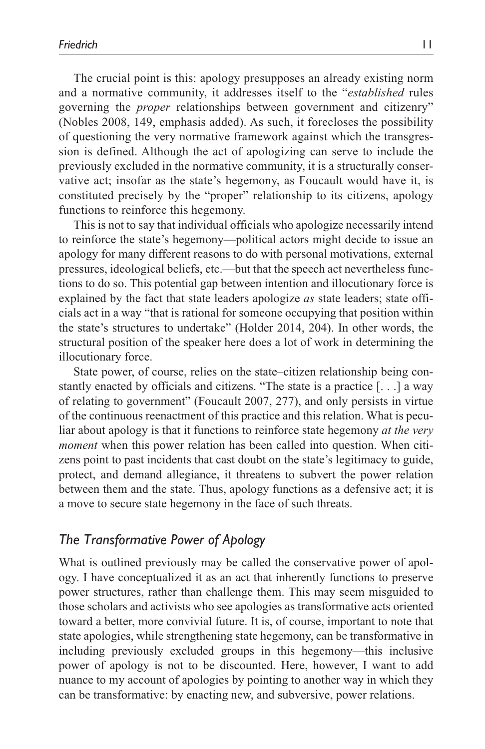The crucial point is this: apology presupposes an already existing norm and a normative community, it addresses itself to the "*established* rules governing the *proper* relationships between government and citizenry" (Nobles 2008, 149, emphasis added). As such, it forecloses the possibility of questioning the very normative framework against which the transgression is defined. Although the act of apologizing can serve to include the previously excluded in the normative community, it is a structurally conservative act; insofar as the state's hegemony, as Foucault would have it, is constituted precisely by the "proper" relationship to its citizens, apology functions to reinforce this hegemony.

This is not to say that individual officials who apologize necessarily intend to reinforce the state's hegemony—political actors might decide to issue an apology for many different reasons to do with personal motivations, external pressures, ideological beliefs, etc.—but that the speech act nevertheless functions to do so. This potential gap between intention and illocutionary force is explained by the fact that state leaders apologize *as* state leaders; state officials act in a way "that is rational for someone occupying that position within the state's structures to undertake" (Holder 2014, 204). In other words, the structural position of the speaker here does a lot of work in determining the illocutionary force.

State power, of course, relies on the state–citizen relationship being constantly enacted by officials and citizens. "The state is a practice [. . .] a way of relating to government" (Foucault 2007, 277), and only persists in virtue of the continuous reenactment of this practice and this relation. What is peculiar about apology is that it functions to reinforce state hegemony *at the very moment* when this power relation has been called into question. When citizens point to past incidents that cast doubt on the state's legitimacy to guide, protect, and demand allegiance, it threatens to subvert the power relation between them and the state. Thus, apology functions as a defensive act; it is a move to secure state hegemony in the face of such threats.

### *The Transformative Power of Apology*

What is outlined previously may be called the conservative power of apology. I have conceptualized it as an act that inherently functions to preserve power structures, rather than challenge them. This may seem misguided to those scholars and activists who see apologies as transformative acts oriented toward a better, more convivial future. It is, of course, important to note that state apologies, while strengthening state hegemony, can be transformative in including previously excluded groups in this hegemony—this inclusive power of apology is not to be discounted. Here, however, I want to add nuance to my account of apologies by pointing to another way in which they can be transformative: by enacting new, and subversive, power relations.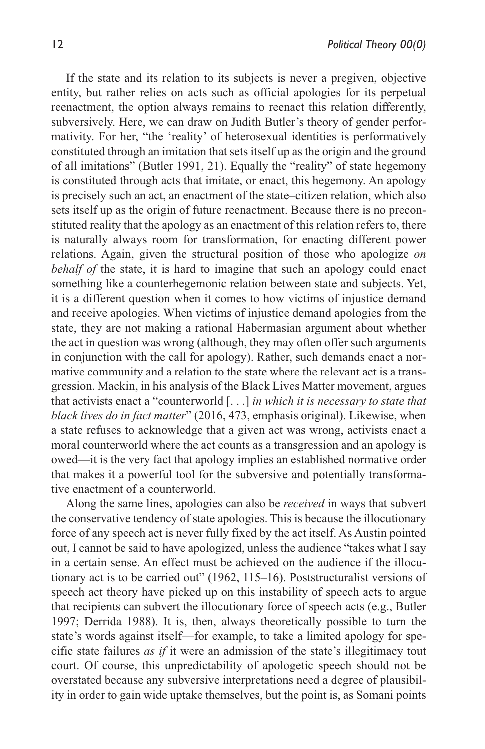If the state and its relation to its subjects is never a pregiven, objective entity, but rather relies on acts such as official apologies for its perpetual reenactment, the option always remains to reenact this relation differently, subversively. Here, we can draw on Judith Butler's theory of gender performativity. For her, "the 'reality' of heterosexual identities is performatively constituted through an imitation that sets itself up as the origin and the ground of all imitations" (Butler 1991, 21). Equally the "reality" of state hegemony is constituted through acts that imitate, or enact, this hegemony. An apology is precisely such an act, an enactment of the state–citizen relation, which also sets itself up as the origin of future reenactment. Because there is no preconstituted reality that the apology as an enactment of this relation refers to, there is naturally always room for transformation, for enacting different power relations. Again, given the structural position of those who apologize *on behalf of* the state, it is hard to imagine that such an apology could enact something like a counterhegemonic relation between state and subjects. Yet, it is a different question when it comes to how victims of injustice demand and receive apologies. When victims of injustice demand apologies from the state, they are not making a rational Habermasian argument about whether the act in question was wrong (although, they may often offer such arguments in conjunction with the call for apology). Rather, such demands enact a normative community and a relation to the state where the relevant act is a transgression. Mackin, in his analysis of the Black Lives Matter movement, argues that activists enact a "counterworld [. . .] *in which it is necessary to state that black lives do in fact matter*" (2016, 473, emphasis original). Likewise, when a state refuses to acknowledge that a given act was wrong, activists enact a moral counterworld where the act counts as a transgression and an apology is owed—it is the very fact that apology implies an established normative order that makes it a powerful tool for the subversive and potentially transformative enactment of a counterworld.

Along the same lines, apologies can also be *received* in ways that subvert the conservative tendency of state apologies. This is because the illocutionary force of any speech act is never fully fixed by the act itself. As Austin pointed out, I cannot be said to have apologized, unless the audience "takes what I say in a certain sense. An effect must be achieved on the audience if the illocutionary act is to be carried out" (1962, 115–16). Poststructuralist versions of speech act theory have picked up on this instability of speech acts to argue that recipients can subvert the illocutionary force of speech acts (e.g., Butler 1997; Derrida 1988). It is, then, always theoretically possible to turn the state's words against itself—for example, to take a limited apology for specific state failures *as if* it were an admission of the state's illegitimacy tout court. Of course, this unpredictability of apologetic speech should not be overstated because any subversive interpretations need a degree of plausibility in order to gain wide uptake themselves, but the point is, as Somani points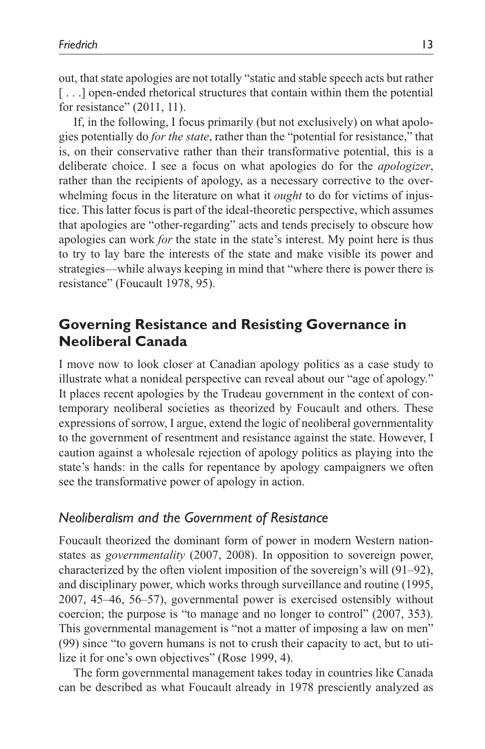out, that state apologies are not totally "static and stable speech acts but rather [...] open-ended rhetorical structures that contain within them the potential for resistance" (2011, 11).

If, in the following, I focus primarily (but not exclusively) on what apologies potentially do *for the state*, rather than the "potential for resistance," that is, on their conservative rather than their transformative potential, this is a deliberate choice. I see a focus on what apologies do for the *apologizer*, rather than the recipients of apology, as a necessary corrective to the overwhelming focus in the literature on what it *ought* to do for victims of injustice. This latter focus is part of the ideal-theoretic perspective, which assumes that apologies are "other-regarding" acts and tends precisely to obscure how apologies can work *for* the state in the state's interest. My point here is thus to try to lay bare the interests of the state and make visible its power and strategies—while always keeping in mind that "where there is power there is resistance" (Foucault 1978, 95).

# **Governing Resistance and Resisting Governance in Neoliberal Canada**

I move now to look closer at Canadian apology politics as a case study to illustrate what a nonideal perspective can reveal about our "age of apology." It places recent apologies by the Trudeau government in the context of contemporary neoliberal societies as theorized by Foucault and others. These expressions of sorrow, I argue, extend the logic of neoliberal governmentality to the government of resentment and resistance against the state. However, I caution against a wholesale rejection of apology politics as playing into the state's hands: in the calls for repentance by apology campaigners we often see the transformative power of apology in action.

# *Neoliberalism and the Government of Resistance*

Foucault theorized the dominant form of power in modern Western nationstates as *governmentality* (2007, 2008). In opposition to sovereign power, characterized by the often violent imposition of the sovereign's will (91–92), and disciplinary power, which works through surveillance and routine (1995, 2007, 45–46, 56–57), governmental power is exercised ostensibly without coercion; the purpose is "to manage and no longer to control" (2007, 353). This governmental management is "not a matter of imposing a law on men" (99) since "to govern humans is not to crush their capacity to act, but to utilize it for one's own objectives" (Rose 1999, 4).

The form governmental management takes today in countries like Canada can be described as what Foucault already in 1978 presciently analyzed as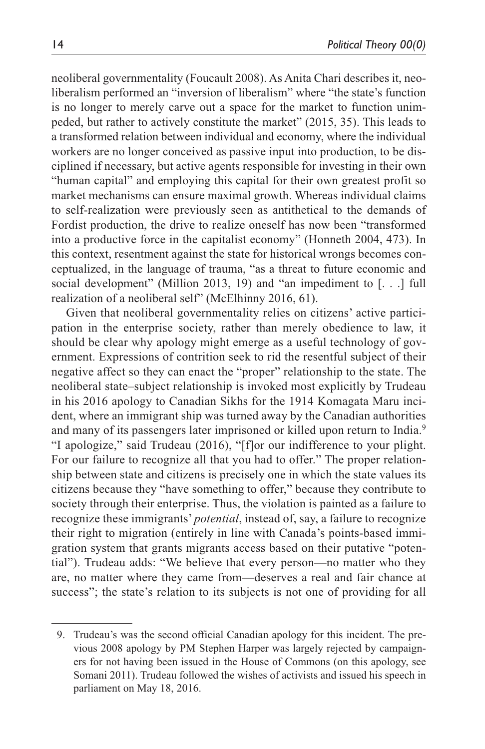neoliberal governmentality (Foucault 2008). As Anita Chari describes it, neoliberalism performed an "inversion of liberalism" where "the state's function is no longer to merely carve out a space for the market to function unimpeded, but rather to actively constitute the market" (2015, 35). This leads to a transformed relation between individual and economy, where the individual workers are no longer conceived as passive input into production, to be disciplined if necessary, but active agents responsible for investing in their own "human capital" and employing this capital for their own greatest profit so market mechanisms can ensure maximal growth. Whereas individual claims to self-realization were previously seen as antithetical to the demands of Fordist production, the drive to realize oneself has now been "transformed into a productive force in the capitalist economy" (Honneth 2004, 473). In this context, resentment against the state for historical wrongs becomes conceptualized, in the language of trauma, "as a threat to future economic and social development" (Million 2013, 19) and "an impediment to [...] full realization of a neoliberal self" (McElhinny 2016, 61).

Given that neoliberal governmentality relies on citizens' active participation in the enterprise society, rather than merely obedience to law, it should be clear why apology might emerge as a useful technology of government. Expressions of contrition seek to rid the resentful subject of their negative affect so they can enact the "proper" relationship to the state. The neoliberal state–subject relationship is invoked most explicitly by Trudeau in his 2016 apology to Canadian Sikhs for the 1914 Komagata Maru incident, where an immigrant ship was turned away by the Canadian authorities and many of its passengers later imprisoned or killed upon return to India.<sup>9</sup> "I apologize," said Trudeau (2016), "[f]or our indifference to your plight. For our failure to recognize all that you had to offer." The proper relationship between state and citizens is precisely one in which the state values its citizens because they "have something to offer," because they contribute to society through their enterprise. Thus, the violation is painted as a failure to recognize these immigrants' *potential*, instead of, say, a failure to recognize their right to migration (entirely in line with Canada's points-based immigration system that grants migrants access based on their putative "potential"). Trudeau adds: "We believe that every person—no matter who they are, no matter where they came from—deserves a real and fair chance at success"; the state's relation to its subjects is not one of providing for all

<sup>9.</sup> Trudeau's was the second official Canadian apology for this incident. The previous 2008 apology by PM Stephen Harper was largely rejected by campaigners for not having been issued in the House of Commons (on this apology, see Somani 2011). Trudeau followed the wishes of activists and issued his speech in parliament on May 18, 2016.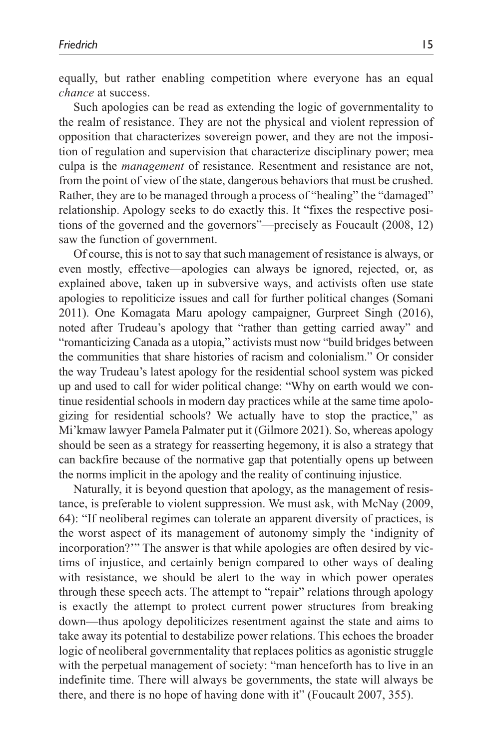equally, but rather enabling competition where everyone has an equal *chance* at success.

Such apologies can be read as extending the logic of governmentality to the realm of resistance. They are not the physical and violent repression of opposition that characterizes sovereign power, and they are not the imposition of regulation and supervision that characterize disciplinary power; mea culpa is the *management* of resistance. Resentment and resistance are not, from the point of view of the state, dangerous behaviors that must be crushed. Rather, they are to be managed through a process of "healing" the "damaged" relationship. Apology seeks to do exactly this. It "fixes the respective positions of the governed and the governors"—precisely as Foucault (2008, 12) saw the function of government.

Of course, this is not to say that such management of resistance is always, or even mostly, effective—apologies can always be ignored, rejected, or, as explained above, taken up in subversive ways, and activists often use state apologies to repoliticize issues and call for further political changes (Somani 2011). One Komagata Maru apology campaigner, Gurpreet Singh (2016), noted after Trudeau's apology that "rather than getting carried away" and "romanticizing Canada as a utopia," activists must now "build bridges between the communities that share histories of racism and colonialism." Or consider the way Trudeau's latest apology for the residential school system was picked up and used to call for wider political change: "Why on earth would we continue residential schools in modern day practices while at the same time apologizing for residential schools? We actually have to stop the practice," as Mi'kmaw lawyer Pamela Palmater put it (Gilmore 2021). So, whereas apology should be seen as a strategy for reasserting hegemony, it is also a strategy that can backfire because of the normative gap that potentially opens up between the norms implicit in the apology and the reality of continuing injustice.

Naturally, it is beyond question that apology, as the management of resistance, is preferable to violent suppression. We must ask, with McNay (2009, 64): "If neoliberal regimes can tolerate an apparent diversity of practices, is the worst aspect of its management of autonomy simply the 'indignity of incorporation?'" The answer is that while apologies are often desired by victims of injustice, and certainly benign compared to other ways of dealing with resistance, we should be alert to the way in which power operates through these speech acts. The attempt to "repair" relations through apology is exactly the attempt to protect current power structures from breaking down—thus apology depoliticizes resentment against the state and aims to take away its potential to destabilize power relations. This echoes the broader logic of neoliberal governmentality that replaces politics as agonistic struggle with the perpetual management of society: "man henceforth has to live in an indefinite time. There will always be governments, the state will always be there, and there is no hope of having done with it" (Foucault 2007, 355).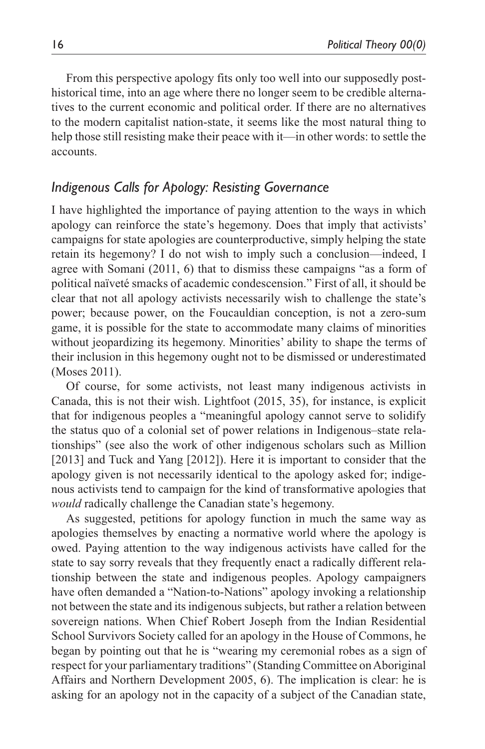From this perspective apology fits only too well into our supposedly posthistorical time, into an age where there no longer seem to be credible alternatives to the current economic and political order. If there are no alternatives to the modern capitalist nation-state, it seems like the most natural thing to help those still resisting make their peace with it—in other words: to settle the accounts.

# *Indigenous Calls for Apology: Resisting Governance*

I have highlighted the importance of paying attention to the ways in which apology can reinforce the state's hegemony. Does that imply that activists' campaigns for state apologies are counterproductive, simply helping the state retain its hegemony? I do not wish to imply such a conclusion—indeed, I agree with Somani (2011, 6) that to dismiss these campaigns "as a form of political naïveté smacks of academic condescension." First of all, it should be clear that not all apology activists necessarily wish to challenge the state's power; because power, on the Foucauldian conception, is not a zero-sum game, it is possible for the state to accommodate many claims of minorities without jeopardizing its hegemony. Minorities' ability to shape the terms of their inclusion in this hegemony ought not to be dismissed or underestimated (Moses 2011).

Of course, for some activists, not least many indigenous activists in Canada, this is not their wish. Lightfoot (2015, 35), for instance, is explicit that for indigenous peoples a "meaningful apology cannot serve to solidify the status quo of a colonial set of power relations in Indigenous–state relationships" (see also the work of other indigenous scholars such as Million [2013] and Tuck and Yang [2012]). Here it is important to consider that the apology given is not necessarily identical to the apology asked for; indigenous activists tend to campaign for the kind of transformative apologies that *would* radically challenge the Canadian state's hegemony.

As suggested, petitions for apology function in much the same way as apologies themselves by enacting a normative world where the apology is owed. Paying attention to the way indigenous activists have called for the state to say sorry reveals that they frequently enact a radically different relationship between the state and indigenous peoples. Apology campaigners have often demanded a "Nation-to-Nations" apology invoking a relationship not between the state and its indigenous subjects, but rather a relation between sovereign nations. When Chief Robert Joseph from the Indian Residential School Survivors Society called for an apology in the House of Commons, he began by pointing out that he is "wearing my ceremonial robes as a sign of respect for your parliamentary traditions" (Standing Committee on Aboriginal Affairs and Northern Development 2005, 6). The implication is clear: he is asking for an apology not in the capacity of a subject of the Canadian state,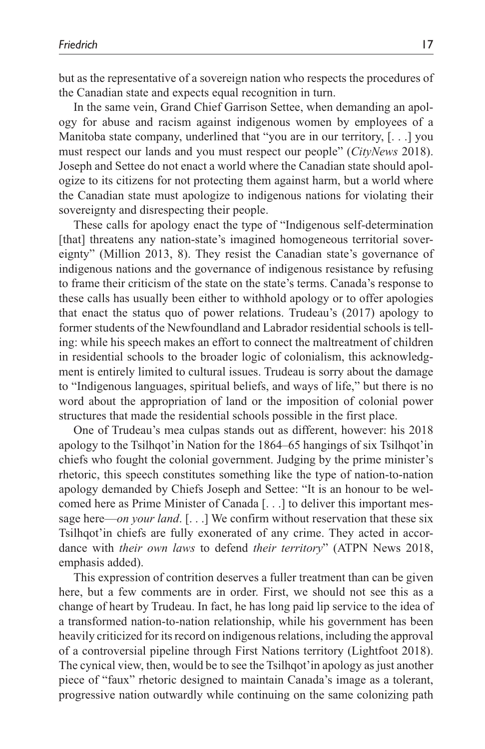but as the representative of a sovereign nation who respects the procedures of the Canadian state and expects equal recognition in turn.

In the same vein, Grand Chief Garrison Settee, when demanding an apology for abuse and racism against indigenous women by employees of a Manitoba state company, underlined that "you are in our territory, [. . .] you must respect our lands and you must respect our people" (*CityNews* 2018). Joseph and Settee do not enact a world where the Canadian state should apologize to its citizens for not protecting them against harm, but a world where the Canadian state must apologize to indigenous nations for violating their sovereignty and disrespecting their people.

These calls for apology enact the type of "Indigenous self-determination [that] threatens any nation-state's imagined homogeneous territorial sovereignty" (Million 2013, 8). They resist the Canadian state's governance of indigenous nations and the governance of indigenous resistance by refusing to frame their criticism of the state on the state's terms. Canada's response to these calls has usually been either to withhold apology or to offer apologies that enact the status quo of power relations. Trudeau's (2017) apology to former students of the Newfoundland and Labrador residential schools is telling: while his speech makes an effort to connect the maltreatment of children in residential schools to the broader logic of colonialism, this acknowledgment is entirely limited to cultural issues. Trudeau is sorry about the damage to "Indigenous languages, spiritual beliefs, and ways of life," but there is no word about the appropriation of land or the imposition of colonial power structures that made the residential schools possible in the first place.

One of Trudeau's mea culpas stands out as different, however: his 2018 apology to the Tsilhqot'in Nation for the 1864–65 hangings of six Tsilhqot'in chiefs who fought the colonial government. Judging by the prime minister's rhetoric, this speech constitutes something like the type of nation-to-nation apology demanded by Chiefs Joseph and Settee: "It is an honour to be welcomed here as Prime Minister of Canada [. . .] to deliver this important message here—*on your land*. [. . .] We confirm without reservation that these six Tsilhqot'in chiefs are fully exonerated of any crime. They acted in accordance with *their own laws* to defend *their territory*" (ATPN News 2018, emphasis added).

This expression of contrition deserves a fuller treatment than can be given here, but a few comments are in order. First, we should not see this as a change of heart by Trudeau. In fact, he has long paid lip service to the idea of a transformed nation-to-nation relationship, while his government has been heavily criticized for its record on indigenous relations, including the approval of a controversial pipeline through First Nations territory (Lightfoot 2018). The cynical view, then, would be to see the Tsilhqot'in apology as just another piece of "faux" rhetoric designed to maintain Canada's image as a tolerant, progressive nation outwardly while continuing on the same colonizing path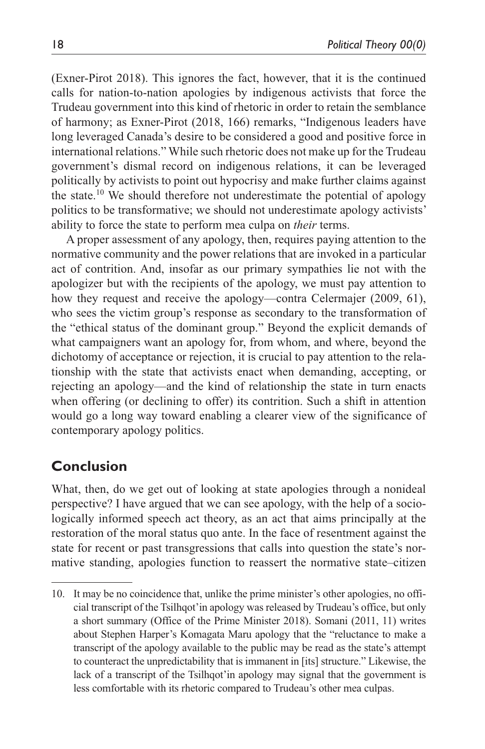(Exner-Pirot 2018). This ignores the fact, however, that it is the continued calls for nation-to-nation apologies by indigenous activists that force the Trudeau government into this kind of rhetoric in order to retain the semblance of harmony; as Exner-Pirot (2018, 166) remarks, "Indigenous leaders have long leveraged Canada's desire to be considered a good and positive force in international relations." While such rhetoric does not make up for the Trudeau government's dismal record on indigenous relations, it can be leveraged politically by activists to point out hypocrisy and make further claims against the state.<sup>10</sup> We should therefore not underestimate the potential of apology politics to be transformative; we should not underestimate apology activists' ability to force the state to perform mea culpa on *their* terms.

A proper assessment of any apology, then, requires paying attention to the normative community and the power relations that are invoked in a particular act of contrition. And, insofar as our primary sympathies lie not with the apologizer but with the recipients of the apology, we must pay attention to how they request and receive the apology—contra Celermajer (2009, 61), who sees the victim group's response as secondary to the transformation of the "ethical status of the dominant group." Beyond the explicit demands of what campaigners want an apology for, from whom, and where, beyond the dichotomy of acceptance or rejection, it is crucial to pay attention to the relationship with the state that activists enact when demanding, accepting, or rejecting an apology—and the kind of relationship the state in turn enacts when offering (or declining to offer) its contrition. Such a shift in attention would go a long way toward enabling a clearer view of the significance of contemporary apology politics.

# **Conclusion**

What, then, do we get out of looking at state apologies through a nonideal perspective? I have argued that we can see apology, with the help of a sociologically informed speech act theory, as an act that aims principally at the restoration of the moral status quo ante. In the face of resentment against the state for recent or past transgressions that calls into question the state's normative standing, apologies function to reassert the normative state–citizen

<sup>10.</sup> It may be no coincidence that, unlike the prime minister's other apologies, no official transcript of the Tsilhqot'in apology was released by Trudeau's office, but only a short summary (Office of the Prime Minister 2018). Somani (2011, 11) writes about Stephen Harper's Komagata Maru apology that the "reluctance to make a transcript of the apology available to the public may be read as the state's attempt to counteract the unpredictability that is immanent in [its] structure." Likewise, the lack of a transcript of the Tsilhqot'in apology may signal that the government is less comfortable with its rhetoric compared to Trudeau's other mea culpas.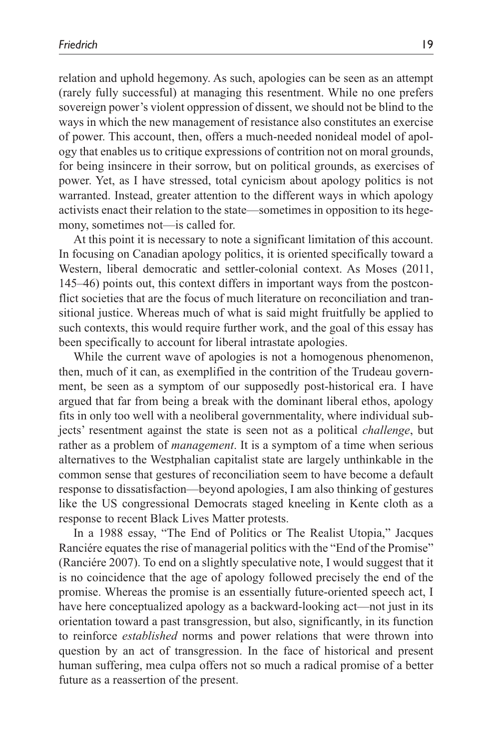relation and uphold hegemony. As such, apologies can be seen as an attempt (rarely fully successful) at managing this resentment. While no one prefers sovereign power's violent oppression of dissent, we should not be blind to the ways in which the new management of resistance also constitutes an exercise of power. This account, then, offers a much-needed nonideal model of apology that enables us to critique expressions of contrition not on moral grounds, for being insincere in their sorrow, but on political grounds, as exercises of power. Yet, as I have stressed, total cynicism about apology politics is not warranted. Instead, greater attention to the different ways in which apology activists enact their relation to the state—sometimes in opposition to its hegemony, sometimes not—is called for.

At this point it is necessary to note a significant limitation of this account. In focusing on Canadian apology politics, it is oriented specifically toward a Western, liberal democratic and settler-colonial context. As Moses (2011, 145–46) points out, this context differs in important ways from the postconflict societies that are the focus of much literature on reconciliation and transitional justice. Whereas much of what is said might fruitfully be applied to such contexts, this would require further work, and the goal of this essay has been specifically to account for liberal intrastate apologies.

While the current wave of apologies is not a homogenous phenomenon, then, much of it can, as exemplified in the contrition of the Trudeau government, be seen as a symptom of our supposedly post-historical era. I have argued that far from being a break with the dominant liberal ethos, apology fits in only too well with a neoliberal governmentality, where individual subjects' resentment against the state is seen not as a political *challenge*, but rather as a problem of *management*. It is a symptom of a time when serious alternatives to the Westphalian capitalist state are largely unthinkable in the common sense that gestures of reconciliation seem to have become a default response to dissatisfaction—beyond apologies, I am also thinking of gestures like the US congressional Democrats staged kneeling in Kente cloth as a response to recent Black Lives Matter protests.

In a 1988 essay, "The End of Politics or The Realist Utopia," Jacques Ranciére equates the rise of managerial politics with the "End of the Promise" (Ranciére 2007). To end on a slightly speculative note, I would suggest that it is no coincidence that the age of apology followed precisely the end of the promise. Whereas the promise is an essentially future-oriented speech act, I have here conceptualized apology as a backward-looking act—not just in its orientation toward a past transgression, but also, significantly, in its function to reinforce *established* norms and power relations that were thrown into question by an act of transgression. In the face of historical and present human suffering, mea culpa offers not so much a radical promise of a better future as a reassertion of the present.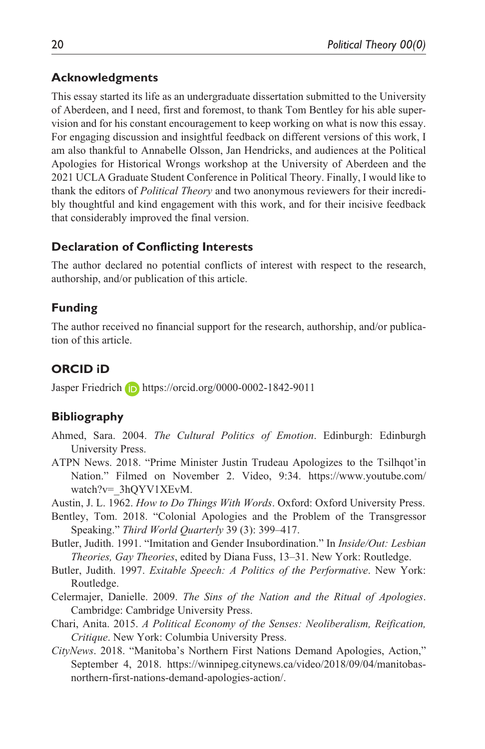### **Acknowledgments**

This essay started its life as an undergraduate dissertation submitted to the University of Aberdeen, and I need, first and foremost, to thank Tom Bentley for his able supervision and for his constant encouragement to keep working on what is now this essay. For engaging discussion and insightful feedback on different versions of this work, I am also thankful to Annabelle Olsson, Jan Hendricks, and audiences at the Political Apologies for Historical Wrongs workshop at the University of Aberdeen and the 2021 UCLA Graduate Student Conference in Political Theory. Finally, I would like to thank the editors of *Political Theory* and two anonymous reviewers for their incredibly thoughtful and kind engagement with this work, and for their incisive feedback that considerably improved the final version.

### **Declaration of Conflicting Interests**

The author declared no potential conflicts of interest with respect to the research, authorship, and/or publication of this article.

### **Funding**

The author received no financial support for the research, authorship, and/or publication of this article.

### **ORCID iD**

Jasper Friedrich <https://orcid.org/0000-0002-1842-9011>

#### **Bibliography**

- Ahmed, Sara. 2004. *The Cultural Politics of Emotion*. Edinburgh: Edinburgh University Press.
- ATPN News. 2018. "Prime Minister Justin Trudeau Apologizes to the Tsilhqot'in Nation." Filmed on November 2. Video, 9:34. [https://www.youtube.com/](https://www.youtube.com/watch?v=_3hQYV1XEvM) [watch?v=\\_3hQYV1XEvM](https://www.youtube.com/watch?v=_3hQYV1XEvM).
- Austin, J. L. 1962. *How to Do Things With Words*. Oxford: Oxford University Press.
- Bentley, Tom. 2018. "Colonial Apologies and the Problem of the Transgressor Speaking." *Third World Quarterly* 39 (3): 399–417.
- Butler, Judith. 1991. "Imitation and Gender Insubordination." In *Inside/Out: Lesbian Theories, Gay Theories*, edited by Diana Fuss, 13–31. New York: Routledge.
- Butler, Judith. 1997. *Exitable Speech: A Politics of the Performative*. New York: Routledge.
- Celermajer, Danielle. 2009. *The Sins of the Nation and the Ritual of Apologies*. Cambridge: Cambridge University Press.
- Chari, Anita. 2015. *A Political Economy of the Senses: Neoliberalism, Reification, Critique*. New York: Columbia University Press.
- *CityNews*. 2018. "Manitoba's Northern First Nations Demand Apologies, Action," September 4, 2018. [https://winnipeg.citynews.ca/video/2018/09/04/manitobas](https://winnipeg.citynews.ca/video/2018/09/04/manitobas-northern-first-nations-demand-apologies-action/)[northern-first-nations-demand-apologies-action/](https://winnipeg.citynews.ca/video/2018/09/04/manitobas-northern-first-nations-demand-apologies-action/).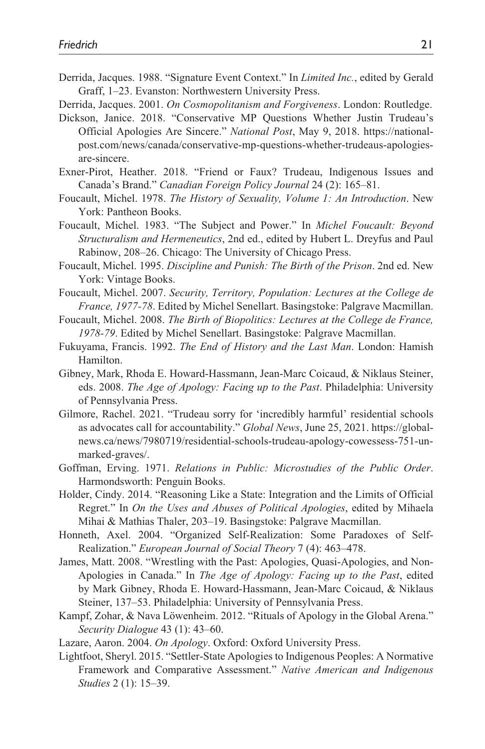- Derrida, Jacques. 1988. "Signature Event Context." In *Limited Inc.*, edited by Gerald Graff, 1–23. Evanston: Northwestern University Press.
- Derrida, Jacques. 2001. *On Cosmopolitanism and Forgiveness*. London: Routledge.
- Dickson, Janice. 2018. "Conservative MP Questions Whether Justin Trudeau's Official Apologies Are Sincere." *National Post*, May 9, 2018. [https://national](https://nationalpost.com/news/canada/conservative-mp-questions-whether-trudeaus-apologies-are-sincere)[post.com/news/canada/conservative-mp-questions-whether-trudeaus-apologies](https://nationalpost.com/news/canada/conservative-mp-questions-whether-trudeaus-apologies-are-sincere)[are-sincere](https://nationalpost.com/news/canada/conservative-mp-questions-whether-trudeaus-apologies-are-sincere).
- Exner-Pirot, Heather. 2018. "Friend or Faux? Trudeau, Indigenous Issues and Canada's Brand." *Canadian Foreign Policy Journal* 24 (2): 165–81.
- Foucault, Michel. 1978. *The History of Sexuality, Volume 1: An Introduction*. New York: Pantheon Books.
- Foucault, Michel. 1983. "The Subject and Power." In *Michel Foucault: Beyond Structuralism and Hermeneutics*, 2nd ed., edited by Hubert L. Dreyfus and Paul Rabinow, 208–26. Chicago: The University of Chicago Press.
- Foucault, Michel. 1995. *Discipline and Punish: The Birth of the Prison*. 2nd ed. New York: Vintage Books.
- Foucault, Michel. 2007. *Security, Territory, Population: Lectures at the College de France, 1977-78*. Edited by Michel Senellart. Basingstoke: Palgrave Macmillan.
- Foucault, Michel. 2008. *The Birth of Biopolitics: Lectures at the College de France, 1978-79*. Edited by Michel Senellart. Basingstoke: Palgrave Macmillan.
- Fukuyama, Francis. 1992. *The End of History and the Last Man*. London: Hamish Hamilton.
- Gibney, Mark, Rhoda E. Howard-Hassmann, Jean-Marc Coicaud, & Niklaus Steiner, eds. 2008. *The Age of Apology: Facing up to the Past*. Philadelphia: University of Pennsylvania Press.
- Gilmore, Rachel. 2021. "Trudeau sorry for 'incredibly harmful' residential schools as advocates call for accountability." *Global News*, June 25, 2021. [https://global](https://globalnews.ca/news/7980719/residential-schools-trudeau-apology-cowessess-751-unmarked-graves/)[news.ca/news/7980719/residential-schools-trudeau-apology-cowessess-751-un](https://globalnews.ca/news/7980719/residential-schools-trudeau-apology-cowessess-751-unmarked-graves/)[marked-graves/.](https://globalnews.ca/news/7980719/residential-schools-trudeau-apology-cowessess-751-unmarked-graves/)
- Goffman, Erving. 1971. *Relations in Public: Microstudies of the Public Order*. Harmondsworth: Penguin Books.
- Holder, Cindy. 2014. "Reasoning Like a State: Integration and the Limits of Official Regret." In *On the Uses and Abuses of Political Apologies*, edited by Mihaela Mihai & Mathias Thaler, 203–19. Basingstoke: Palgrave Macmillan.
- Honneth, Axel. 2004. "Organized Self-Realization: Some Paradoxes of Self-Realization." *European Journal of Social Theory* 7 (4): 463–478.
- James, Matt. 2008. "Wrestling with the Past: Apologies, Quasi-Apologies, and Non-Apologies in Canada." In *The Age of Apology: Facing up to the Past*, edited by Mark Gibney, Rhoda E. Howard-Hassmann, Jean-Marc Coicaud, & Niklaus Steiner, 137–53. Philadelphia: University of Pennsylvania Press.
- Kampf, Zohar, & Nava Löwenheim. 2012. "Rituals of Apology in the Global Arena." *Security Dialogue* 43 (1): 43–60.
- Lazare, Aaron. 2004. *On Apology*. Oxford: Oxford University Press.
- Lightfoot, Sheryl. 2015. "Settler-State Apologies to Indigenous Peoples: A Normative Framework and Comparative Assessment." *Native American and Indigenous Studies* 2 (1): 15–39.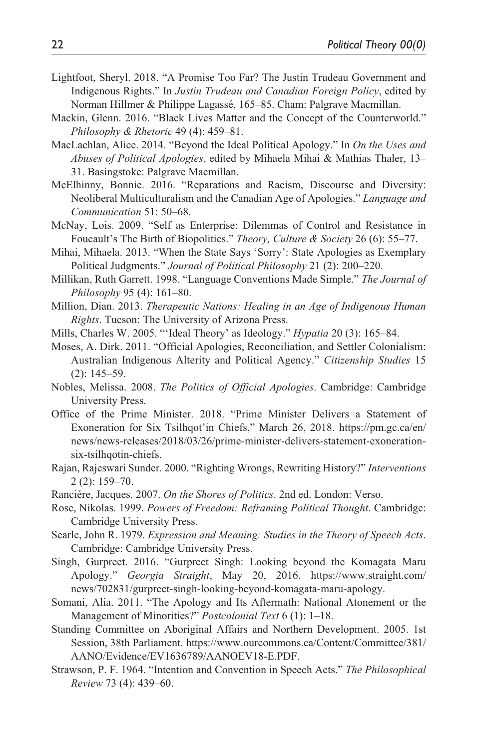- Lightfoot, Sheryl. 2018. "A Promise Too Far? The Justin Trudeau Government and Indigenous Rights." In *Justin Trudeau and Canadian Foreign Policy*, edited by Norman Hillmer & Philippe Lagassé, 165–85. Cham: Palgrave Macmillan.
- Mackin, Glenn. 2016. "Black Lives Matter and the Concept of the Counterworld." *Philosophy & Rhetoric* 49 (4): 459–81.
- MacLachlan, Alice. 2014. "Beyond the Ideal Political Apology." In *On the Uses and Abuses of Political Apologies*, edited by Mihaela Mihai & Mathias Thaler, 13– 31. Basingstoke: Palgrave Macmillan.
- McElhinny, Bonnie. 2016. "Reparations and Racism, Discourse and Diversity: Neoliberal Multiculturalism and the Canadian Age of Apologies." *Language and Communication* 51: 50–68.
- McNay, Lois. 2009. "Self as Enterprise: Dilemmas of Control and Resistance in Foucault's The Birth of Biopolitics." *Theory, Culture & Society* 26 (6): 55–77.
- Mihai, Mihaela. 2013. "When the State Says 'Sorry': State Apologies as Exemplary Political Judgments." *Journal of Political Philosophy* 21 (2): 200–220.
- Millikan, Ruth Garrett. 1998. "Language Conventions Made Simple." *The Journal of Philosophy* 95 (4): 161–80.
- Million, Dian. 2013. *Therapeutic Nations: Healing in an Age of Indigenous Human Rights*. Tucson: The University of Arizona Press.
- Mills, Charles W. 2005. "'Ideal Theory' as Ideology." *Hypatia* 20 (3): 165–84.
- Moses, A. Dirk. 2011. "Official Apologies, Reconciliation, and Settler Colonialism: Australian Indigenous Alterity and Political Agency." *Citizenship Studies* 15 (2): 145–59.
- Nobles, Melissa. 2008. *The Politics of Official Apologies*. Cambridge: Cambridge University Press.
- Office of the Prime Minister. 2018. "Prime Minister Delivers a Statement of Exoneration for Six Tsilhqot'in Chiefs," March 26, 2018. [https://pm.gc.ca/en/](https://pm.gc.ca/en/news/news-releases/2018/03/26/prime-minister-delivers-statement-exoneration-six-tsilhqotin-chiefs) [news/news-releases/2018/03/26/prime-minister-delivers-statement-exoneration](https://pm.gc.ca/en/news/news-releases/2018/03/26/prime-minister-delivers-statement-exoneration-six-tsilhqotin-chiefs)[six-tsilhqotin-chiefs](https://pm.gc.ca/en/news/news-releases/2018/03/26/prime-minister-delivers-statement-exoneration-six-tsilhqotin-chiefs).
- Rajan, Rajeswari Sunder. 2000. "Righting Wrongs, Rewriting History?" *Interventions* 2 (2): 159–70.
- Ranciére, Jacques. 2007. *On the Shores of Politics*. 2nd ed. London: Verso.
- Rose, Nikolas. 1999. *Powers of Freedom: Reframing Political Thought*. Cambridge: Cambridge University Press.
- Searle, John R. 1979. *Expression and Meaning: Studies in the Theory of Speech Acts*. Cambridge: Cambridge University Press.
- Singh, Gurpreet. 2016. "Gurpreet Singh: Looking beyond the Komagata Maru Apology." *Georgia Straight*, May 20, 2016. [https://www.straight.com/](https://www.straight.com/news/702831/gurpreet-singh-looking-beyond-komagata-maru-apology) [news/702831/gurpreet-singh-looking-beyond-komagata-maru-apology](https://www.straight.com/news/702831/gurpreet-singh-looking-beyond-komagata-maru-apology).
- Somani, Alia. 2011. "The Apology and Its Aftermath: National Atonement or the Management of Minorities?" *Postcolonial Text* 6 (1): 1–18.
- Standing Committee on Aboriginal Affairs and Northern Development. 2005. 1st Session, 38th Parliament. [https://www.ourcommons.ca/Content/Committee/381/](https://www.ourcommons.ca/Content/Committee/381/AANO/Evidence/EV1636789/AANOEV18-E.PDF) [AANO/Evidence/EV1636789/AANOEV18-E.PDF.](https://www.ourcommons.ca/Content/Committee/381/AANO/Evidence/EV1636789/AANOEV18-E.PDF)
- Strawson, P. F. 1964. "Intention and Convention in Speech Acts." *The Philosophical Review* 73 (4): 439–60.